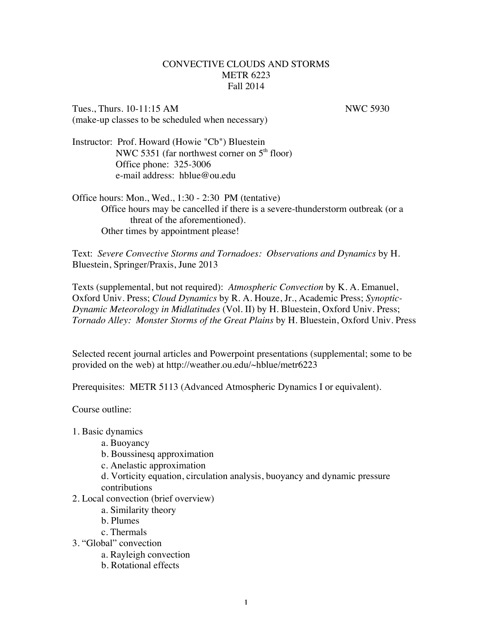## CONVECTIVE CLOUDS AND STORMS METR 6223 Fall 2014

Tues., Thurs. 10-11:15 AM NWC 5930 (make-up classes to be scheduled when necessary)

Instructor: Prof. Howard (Howie "Cb") Bluestein NWC 5351 (far northwest corner on  $5<sup>th</sup>$  floor) Office phone: 325-3006 e-mail address: hblue@ou.edu

Office hours: Mon., Wed., 1:30 - 2:30 PM (tentative) Office hours may be cancelled if there is a severe-thunderstorm outbreak (or a threat of the aforementioned). Other times by appointment please!

Text: *Severe Convective Storms and Tornadoes: Observations and Dynamics* by H. Bluestein, Springer/Praxis, June 2013

Texts (supplemental, but not required): *Atmospheric Convection* by K. A. Emanuel, Oxford Univ. Press; *Cloud Dynamics* by R. A. Houze, Jr., Academic Press; *Synoptic-Dynamic Meteorology in Midlatitudes* (Vol. II) by H. Bluestein, Oxford Univ. Press; *Tornado Alley: Monster Storms of the Great Plains* by H. Bluestein, Oxford Univ. Press

Selected recent journal articles and Powerpoint presentations (supplemental; some to be provided on the web) at http://weather.ou.edu/~hblue/metr6223

Prerequisites: METR 5113 (Advanced Atmospheric Dynamics I or equivalent).

Course outline:

- 1. Basic dynamics
	- a. Buoyancy
	- b. Boussinesq approximation
	- c. Anelastic approximation
	- d. Vorticity equation, circulation analysis, buoyancy and dynamic pressure contributions
- 2. Local convection (brief overview)
	- a. Similarity theory
	- b. Plumes
	- c. Thermals
- 3. "Global" convection
	- a. Rayleigh convection
	- b. Rotational effects